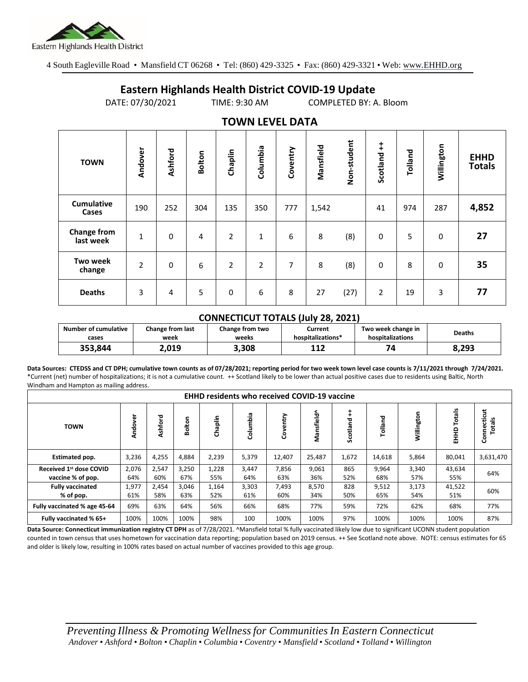

4 South Eagleville Road • Mansfield CT 06268 • Tel: (860) 429-3325 • Fax: (860) 429-3321 • Web: www.EHHD.org

## **Eastern Highlands Health District COVID-19 Update**

DATE: 07/30/2021 TIME: 9:30 AM COMPLETED BY: A. Bloom

| TUWIY LLYLL DATA                |                |             |                |                |          |          |           |             |             |         |             |                              |
|---------------------------------|----------------|-------------|----------------|----------------|----------|----------|-----------|-------------|-------------|---------|-------------|------------------------------|
| <b>TOWN</b>                     | Andover        | Ashford     | <b>Bolton</b>  | Chaplin        | Columbia | Coventry | Mansfield | Non-student | Scotland ++ | Tolland | Willington  | <b>EHHD</b><br><b>Totals</b> |
| <b>Cumulative</b><br>Cases      | 190            | 252         | 304            | 135            | 350      | 777      | 1,542     |             | 41          | 974     | 287         | 4,852                        |
| <b>Change from</b><br>last week | $\mathbf{1}$   | $\mathbf 0$ | $\overline{4}$ | $\overline{2}$ | 1        | 6        | 8         | (8)         | $\mathbf 0$ | 5       | $\mathbf 0$ | 27                           |
| <b>Two week</b><br>change       | $\overline{2}$ | $\mathbf 0$ | 6              | $\overline{2}$ | 2        | 7        | 8         | (8)         | $\mathbf 0$ | 8       | $\mathbf 0$ | 35                           |
| <b>Deaths</b>                   | 3              | 4           | 5              | 0              | 6        | 8        | 27        | (27)        | 2           | 19      | 3           | 77                           |

## **TOWN LEVEL DATA**

## **CONNECTICUT TOTALS (July 28, 2021)**

| <b>Number of cumulative</b> | Change from last | Change from two | Current           | Two week change in | <b>Deaths</b> |  |
|-----------------------------|------------------|-----------------|-------------------|--------------------|---------------|--|
| cases                       | week             | weeks           | hospitalizations* | hospitalizations   |               |  |
| 353,844                     | 2.019            | 3.308           | 117<br>∸∸∠        | 74                 | 8.293         |  |

**Data Sources: CTEDSS and CT DPH; cumulative town counts as of 07/28/2021; reporting period for two week town level case counts is 7/11/2021 through 7/24/2021.** \*Current (net) number of hospitalizations; it is not a cumulative count. ++ Scotland likely to be lower than actual positive cases due to residents using Baltic, North Windham and Hampton as mailing address.

| <b>EHHD residents who received COVID-19 vaccine</b>      |              |              |              |              |              |              |              |            |              |              |                    |                      |
|----------------------------------------------------------|--------------|--------------|--------------|--------------|--------------|--------------|--------------|------------|--------------|--------------|--------------------|----------------------|
| <b>TOWN</b>                                              | Andover      | Ashford      | Bolton       | Chaplin      | Columbia     | Coventry     | Mansfield^   | Scotland   | Tolland      | Willington   | Totals<br>요<br>EHH | Connecticut<br>otals |
| <b>Estimated pop.</b>                                    | 3,236        | 4,255        | 4,884        | 2,239        | 5,379        | 12,407       | 25,487       | 1,672      | 14,618       | 5,864        | 80,041             | 3,631,470            |
| Received 1 <sup>st</sup> dose COVID<br>vaccine % of pop. | 2,076<br>64% | 2,547<br>60% | 3,250<br>67% | 1,228<br>55% | 3,447<br>64% | 7,856<br>63% | 9,061<br>36% | 865<br>52% | 9,964<br>68% | 3,340<br>57% | 43,634<br>55%      | 64%                  |
| <b>Fully vaccinated</b><br>% of pop.                     | 1,977<br>61% | 2,454<br>58% | 3,046<br>63% | 1,164<br>52% | 3,303<br>61% | 7,493<br>60% | 8,570<br>34% | 828<br>50% | 9,512<br>65% | 3,173<br>54% | 41,522<br>51%      | 60%                  |
| Fully vaccinated % age 45-64                             | 69%          | 63%          | 64%          | 56%          | 66%          | 68%          | 77%          | 59%        | 72%          | 62%          | 68%                | 77%                  |
| Fully vaccinated % 65+                                   | 100%         | 100%         | 100%         | 98%          | 100          | 100%         | 100%         | 97%        | 100%         | 100%         | 100%               | 87%                  |

Data Source: Connecticut immunization registry CT DPH as of 7/28/2021. ^Mansfield total % fully vaccinated likely low due to significant UCONN student population counted in town census that uses hometown for vaccination data reporting; population based on 2019 census. ++ See Scotland note above. NOTE: census estimates for 65 and older is likely low, resulting in 100% rates based on actual number of vaccines provided to this age group.